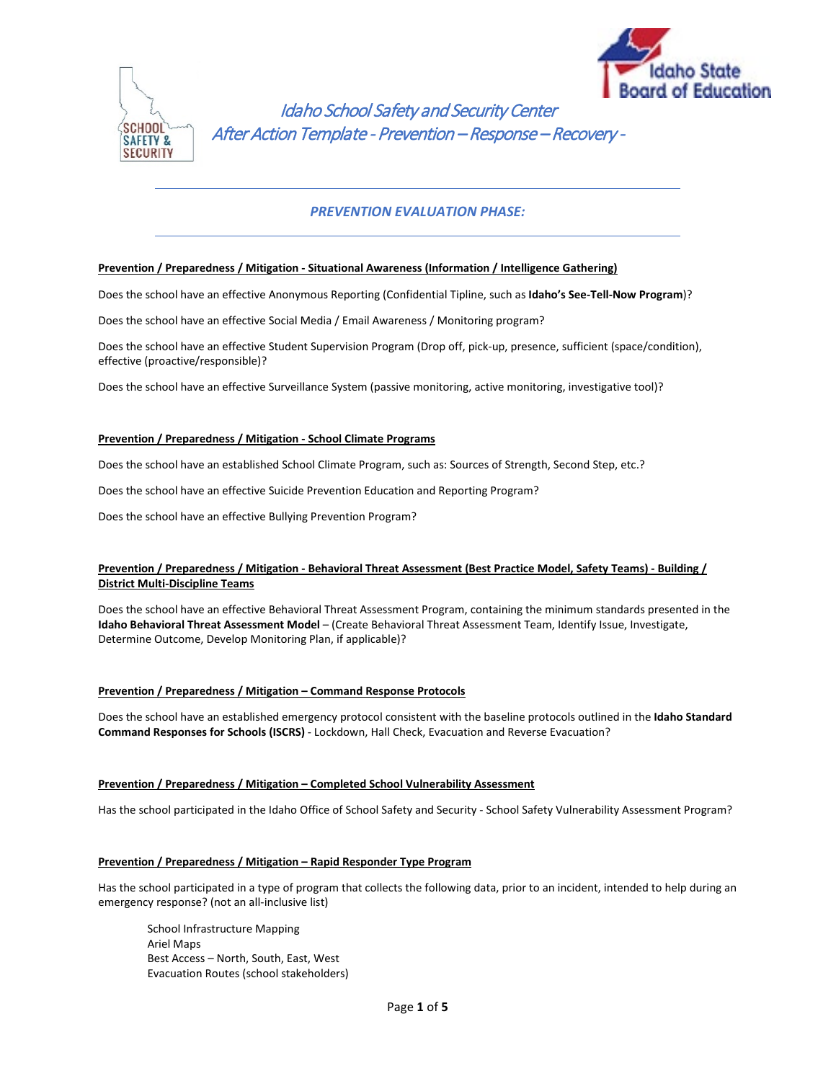



Idaho School Safety and Security Center After Action Template - Prevention – Response – Recovery -

# *PREVENTION EVALUATION PHASE:*

## **Prevention / Preparedness / Mitigation - Situational Awareness (Information / Intelligence Gathering)**

Does the school have an effective Anonymous Reporting (Confidential Tipline, such as **Idaho's See-Tell-Now Program**)?

Does the school have an effective Social Media / Email Awareness / Monitoring program?

Does the school have an effective Student Supervision Program (Drop off, pick-up, presence, sufficient (space/condition), effective (proactive/responsible)?

Does the school have an effective Surveillance System (passive monitoring, active monitoring, investigative tool)?

#### **Prevention / Preparedness / Mitigation - School Climate Programs**

Does the school have an established School Climate Program, such as: Sources of Strength, Second Step, etc.?

Does the school have an effective Suicide Prevention Education and Reporting Program?

Does the school have an effective Bullying Prevention Program?

# **Prevention / Preparedness / Mitigation - Behavioral Threat Assessment (Best Practice Model, Safety Teams) - Building / District Multi-Discipline Teams**

Does the school have an effective Behavioral Threat Assessment Program, containing the minimum standards presented in the **Idaho Behavioral Threat Assessment Model** – (Create Behavioral Threat Assessment Team, Identify Issue, Investigate, Determine Outcome, Develop Monitoring Plan, if applicable)?

### **Prevention / Preparedness / Mitigation – Command Response Protocols**

Does the school have an established emergency protocol consistent with the baseline protocols outlined in the **Idaho Standard Command Responses for Schools (ISCRS)** - Lockdown, Hall Check, Evacuation and Reverse Evacuation?

### **Prevention / Preparedness / Mitigation – Completed School Vulnerability Assessment**

Has the school participated in the Idaho Office of School Safety and Security - School Safety Vulnerability Assessment Program?

#### **Prevention / Preparedness / Mitigation – Rapid Responder Type Program**

Has the school participated in a type of program that collects the following data, prior to an incident, intended to help during an emergency response? (not an all-inclusive list)

School Infrastructure Mapping Ariel Maps Best Access – North, South, East, West Evacuation Routes (school stakeholders)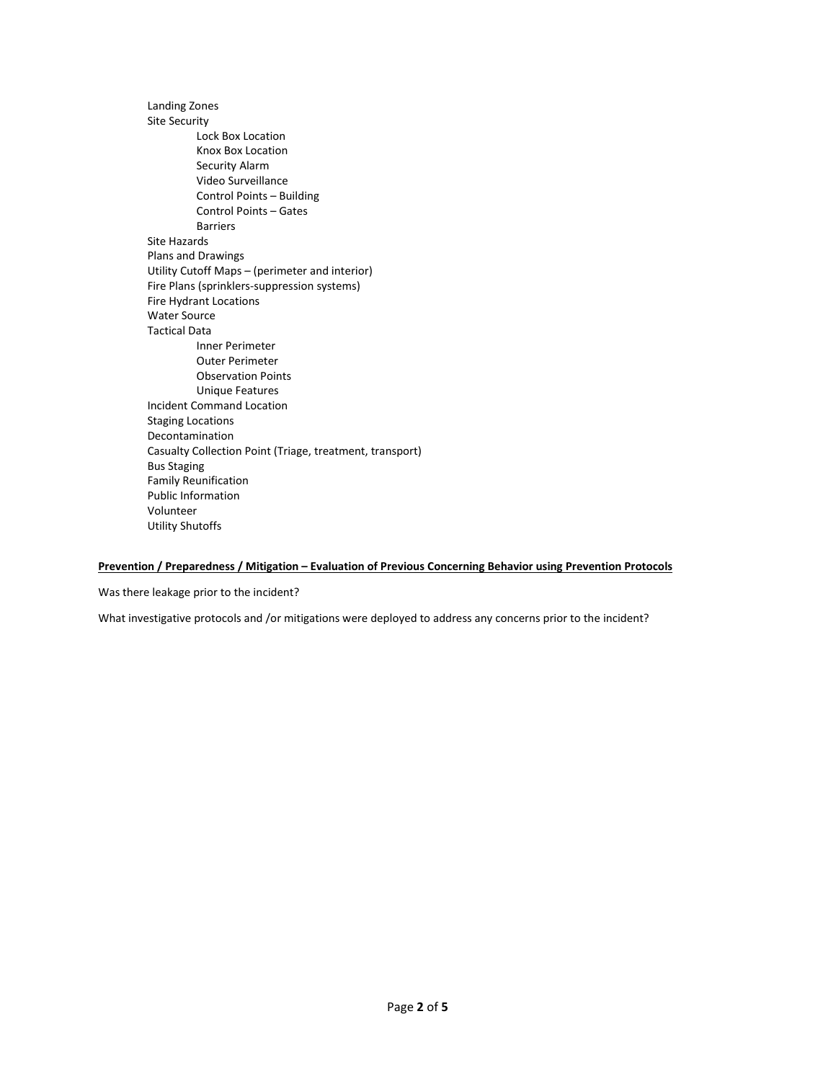Landing Zones Site Security Lock Box Location Knox Box Location Security Alarm Video Surveillance Control Points – Building Control Points – Gates Barriers Site Hazards Plans and Drawings Utility Cutoff Maps – (perimeter and interior) Fire Plans (sprinklers-suppression systems) Fire Hydrant Locations Water Source Tactical Data Inner Perimeter Outer Perimeter Observation Points Unique Features Incident Command Location Staging Locations Decontamination Casualty Collection Point (Triage, treatment, transport) Bus Staging Family Reunification Public Information Volunteer Utility Shutoffs

# **Prevention / Preparedness / Mitigation – Evaluation of Previous Concerning Behavior using Prevention Protocols**

Was there leakage prior to the incident?

What investigative protocols and /or mitigations were deployed to address any concerns prior to the incident?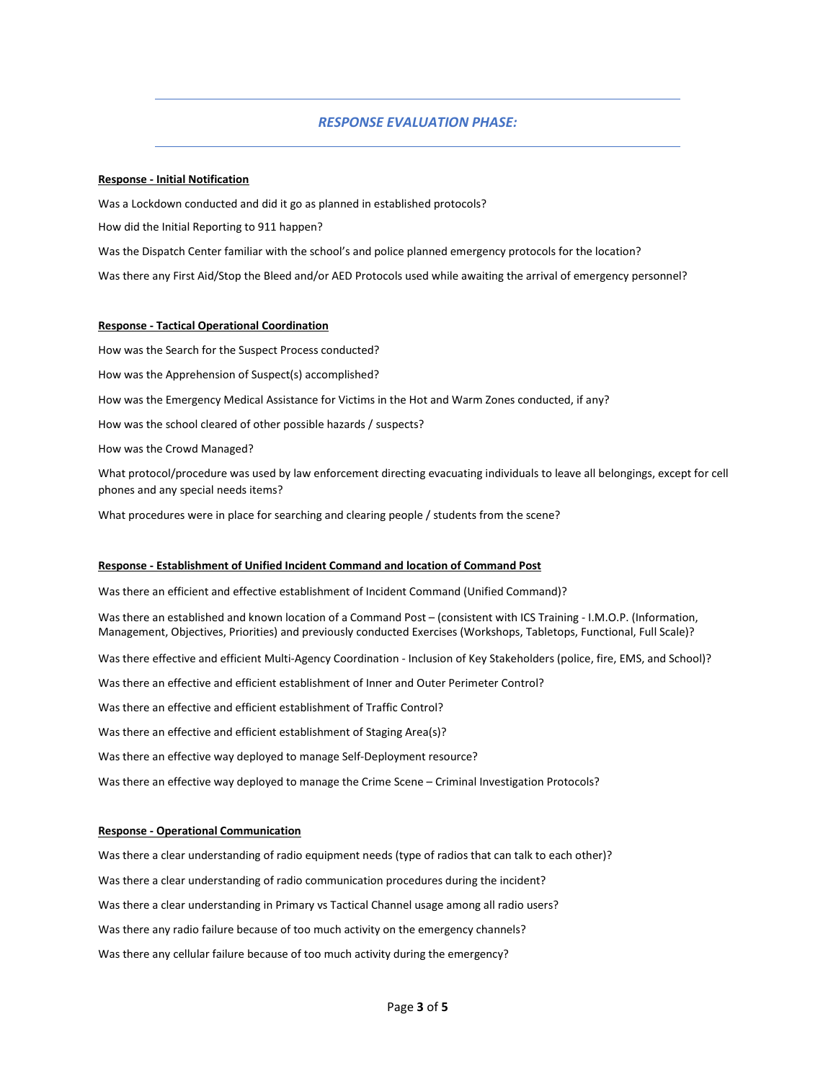# *RESPONSE EVALUATION PHASE:*

#### **Response - Initial Notification**

Was a Lockdown conducted and did it go as planned in established protocols?

How did the Initial Reporting to 911 happen?

Was the Dispatch Center familiar with the school's and police planned emergency protocols for the location?

Was there any First Aid/Stop the Bleed and/or AED Protocols used while awaiting the arrival of emergency personnel?

#### **Response - Tactical Operational Coordination**

How was the Search for the Suspect Process conducted?

How was the Apprehension of Suspect(s) accomplished?

How was the Emergency Medical Assistance for Victims in the Hot and Warm Zones conducted, if any?

How was the school cleared of other possible hazards / suspects?

How was the Crowd Managed?

What protocol/procedure was used by law enforcement directing evacuating individuals to leave all belongings, except for cell phones and any special needs items?

What procedures were in place for searching and clearing people / students from the scene?

#### **Response - Establishment of Unified Incident Command and location of Command Post**

Was there an efficient and effective establishment of Incident Command (Unified Command)?

Was there an established and known location of a Command Post – (consistent with ICS Training - I.M.O.P. (Information, Management, Objectives, Priorities) and previously conducted Exercises (Workshops, Tabletops, Functional, Full Scale)?

Was there effective and efficient Multi-Agency Coordination - Inclusion of Key Stakeholders (police, fire, EMS, and School)?

Was there an effective and efficient establishment of Inner and Outer Perimeter Control?

Was there an effective and efficient establishment of Traffic Control?

Was there an effective and efficient establishment of Staging Area(s)?

Was there an effective way deployed to manage Self-Deployment resource?

Was there an effective way deployed to manage the Crime Scene – Criminal Investigation Protocols?

#### **Response - Operational Communication**

Was there a clear understanding of radio equipment needs (type of radios that can talk to each other)?

Was there a clear understanding of radio communication procedures during the incident?

Was there a clear understanding in Primary vs Tactical Channel usage among all radio users?

Was there any radio failure because of too much activity on the emergency channels?

Was there any cellular failure because of too much activity during the emergency?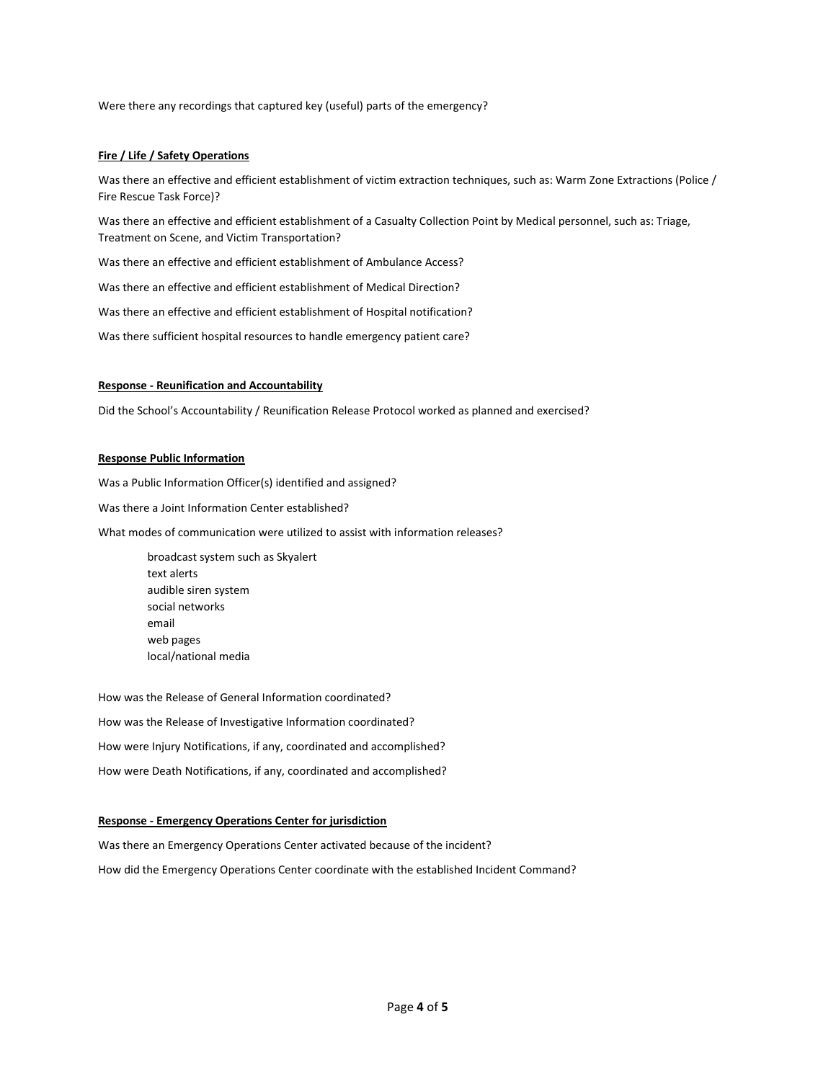Were there any recordings that captured key (useful) parts of the emergency?

## **Fire / Life / Safety Operations**

Was there an effective and efficient establishment of victim extraction techniques, such as: Warm Zone Extractions (Police / Fire Rescue Task Force)?

Was there an effective and efficient establishment of a Casualty Collection Point by Medical personnel, such as: Triage, Treatment on Scene, and Victim Transportation?

Was there an effective and efficient establishment of Ambulance Access?

Was there an effective and efficient establishment of Medical Direction?

Was there an effective and efficient establishment of Hospital notification?

Was there sufficient hospital resources to handle emergency patient care?

#### **Response - Reunification and Accountability**

Did the School's Accountability / Reunification Release Protocol worked as planned and exercised?

## **Response Public Information**

Was a Public Information Officer(s) identified and assigned?

Was there a Joint Information Center established?

What modes of communication were utilized to assist with information releases?

broadcast system such as Skyalert text alerts audible siren system social networks email web pages local/national media

How was the Release of General Information coordinated? How was the Release of Investigative Information coordinated? How were Injury Notifications, if any, coordinated and accomplished? How were Death Notifications, if any, coordinated and accomplished?

### **Response - Emergency Operations Center for jurisdiction**

Was there an Emergency Operations Center activated because of the incident? How did the Emergency Operations Center coordinate with the established Incident Command?